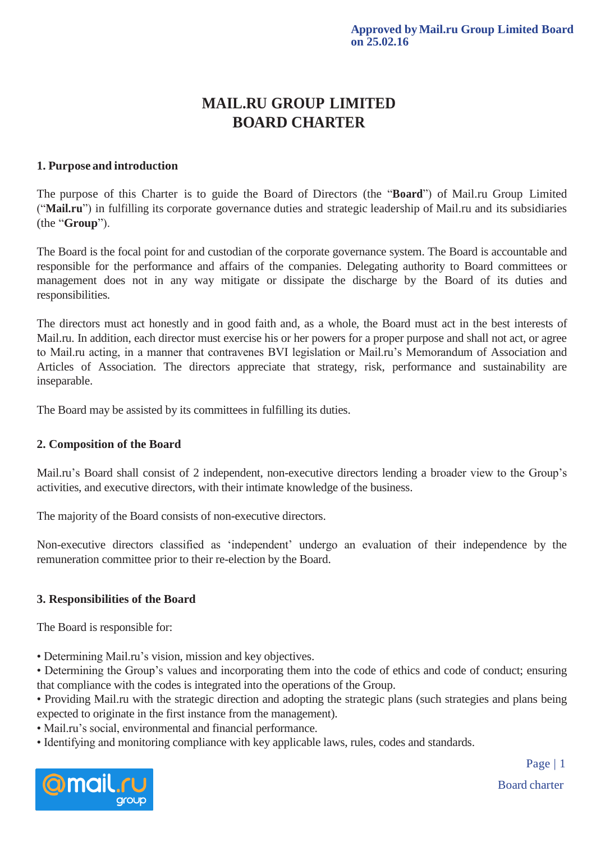# **MAIL.RU GROUP LIMITED BOARD CHARTER**

## **1. Purpose and introduction**

The purpose of this Charter is to guide the Board of Directors (the "**Board**") of Mail.ru Group Limited ("**Mail.ru**") in fulfilling its corporate governance duties and strategic leadership of Mail.ru and its subsidiaries (the "**Group**").

The Board is the focal point for and custodian of the corporate governance system. The Board is accountable and responsible for the performance and affairs of the companies. Delegating authority to Board committees or management does not in any way mitigate or dissipate the discharge by the Board of its duties and responsibilities.

The directors must act honestly and in good faith and, as a whole, the Board must act in the best interests of Mail.ru. In addition, each director must exercise his or her powers for a proper purpose and shall not act, or agree to Mail.ru acting, in a manner that contravenes BVI legislation or Mail.ru's Memorandum of Association and Articles of Association. The directors appreciate that strategy, risk, performance and sustainability are inseparable.

The Board may be assisted by its committees in fulfilling its duties.

## **2. Composition of the Board**

Mail.ru's Board shall consist of 2 independent, non-executive directors lending a broader view to the Group's activities, and executive directors, with their intimate knowledge of the business.

The majority of the Board consists of non-executive directors.

Non-executive directors classified as 'independent' undergo an evaluation of their independence by the remuneration committee prior to their re-election by the Board.

## **3. Responsibilities of the Board**

The Board is responsible for:

• Determining Mail.ru's vision, mission and key objectives.

• Determining the Group's values and incorporating them into the code of ethics and code of conduct; ensuring that compliance with the codes is integrated into the operations of the Group.

• Providing Mail.ru with the strategic direction and adopting the strategic plans (such strategies and plans being expected to originate in the first instance from the management).

- Mail.ru's social, environmental and financial performance.
- Identifying and monitoring compliance with key applicable laws, rules, codes and standards.



Board charter Page | 1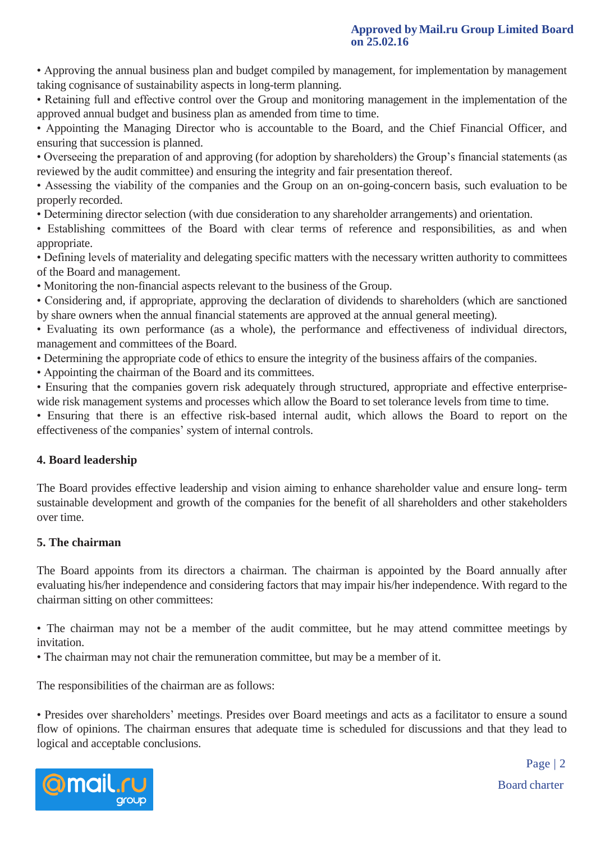• Approving the annual business plan and budget compiled by management, for implementation by management taking cognisance of sustainability aspects in long-term planning.

• Retaining full and effective control over the Group and monitoring management in the implementation of the approved annual budget and business plan as amended from time to time.

• Appointing the Managing Director who is accountable to the Board, and the Chief Financial Officer, and ensuring that succession is planned.

• Overseeing the preparation of and approving (for adoption by shareholders) the Group's financial statements (as reviewed by the audit committee) and ensuring the integrity and fair presentation thereof.

• Assessing the viability of the companies and the Group on an on-going-concern basis, such evaluation to be properly recorded.

• Determining director selection (with due consideration to any shareholder arrangements) and orientation.

• Establishing committees of the Board with clear terms of reference and responsibilities, as and when appropriate.

• Defining levels of materiality and delegating specific matters with the necessary written authority to committees of the Board and management.

• Monitoring the non-financial aspects relevant to the business of the Group.

• Considering and, if appropriate, approving the declaration of dividends to shareholders (which are sanctioned by share owners when the annual financial statements are approved at the annual general meeting).

• Evaluating its own performance (as a whole), the performance and effectiveness of individual directors, management and committees of the Board.

• Determining the appropriate code of ethics to ensure the integrity of the business affairs of the companies.

• Appointing the chairman of the Board and its committees.

• Ensuring that the companies govern risk adequately through structured, appropriate and effective enterprisewide risk management systems and processes which allow the Board to set tolerance levels from time to time.

• Ensuring that there is an effective risk-based internal audit, which allows the Board to report on the effectiveness of the companies' system of internal controls.

# **4. Board leadership**

The Board provides effective leadership and vision aiming to enhance shareholder value and ensure long- term sustainable development and growth of the companies for the benefit of all shareholders and other stakeholders over time.

# **5. The chairman**

The Board appoints from its directors a chairman. The chairman is appointed by the Board annually after evaluating his/her independence and considering factors that may impair his/her independence. With regard to the chairman sitting on other committees:

• The chairman may not be a member of the audit committee, but he may attend committee meetings by invitation.

• The chairman may not chair the remuneration committee, but may be a member of it.

The responsibilities of the chairman are as follows:

• Presides over shareholders' meetings. Presides over Board meetings and acts as a facilitator to ensure a sound flow of opinions. The chairman ensures that adequate time is scheduled for discussions and that they lead to logical and acceptable conclusions.



Board charter Page | 2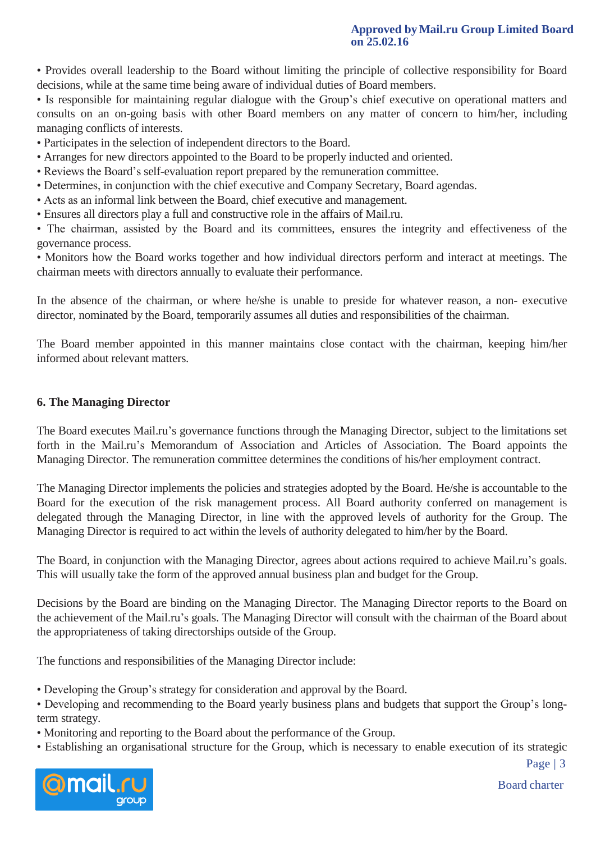#### **Approved by Mail.ru Group Limited Board on 25.02.16**

• Provides overall leadership to the Board without limiting the principle of collective responsibility for Board decisions, while at the same time being aware of individual duties of Board members.

• Is responsible for maintaining regular dialogue with the Group's chief executive on operational matters and consults on an on-going basis with other Board members on any matter of concern to him/her, including managing conflicts of interests.

- Participates in the selection of independent directors to the Board.
- Arranges for new directors appointed to the Board to be properly inducted and oriented.
- Reviews the Board's self-evaluation report prepared by the remuneration committee.
- Determines, in conjunction with the chief executive and Company Secretary, Board agendas.
- Acts as an informal link between the Board, chief executive and management.
- Ensures all directors play a full and constructive role in the affairs of Mail.ru.

• The chairman, assisted by the Board and its committees, ensures the integrity and effectiveness of the governance process.

• Monitors how the Board works together and how individual directors perform and interact at meetings. The chairman meets with directors annually to evaluate their performance.

In the absence of the chairman, or where he/she is unable to preside for whatever reason, a non- executive director, nominated by the Board, temporarily assumes all duties and responsibilities of the chairman.

The Board member appointed in this manner maintains close contact with the chairman, keeping him/her informed about relevant matters.

## **6. The Managing Director**

The Board executes Mail.ru's governance functions through the Managing Director, subject to the limitations set forth in the Mail.ru's Memorandum of Association and Articles of Association. The Board appoints the Managing Director. The remuneration committee determines the conditions of his/her employment contract.

The Managing Director implements the policies and strategies adopted by the Board. He/she is accountable to the Board for the execution of the risk management process. All Board authority conferred on management is delegated through the Managing Director, in line with the approved levels of authority for the Group. The Managing Director is required to act within the levels of authority delegated to him/her by the Board.

The Board, in conjunction with the Managing Director, agrees about actions required to achieve Mail.ru's goals. This will usually take the form of the approved annual business plan and budget for the Group.

Decisions by the Board are binding on the Managing Director. The Managing Director reports to the Board on the achievement of the Mail.ru's goals. The Managing Director will consult with the chairman of the Board about the appropriateness of taking directorships outside of the Group.

The functions and responsibilities of the Managing Director include:

- Developing the Group's strategy for consideration and approval by the Board.
- Developing and recommending to the Board yearly business plans and budgets that support the Group's longterm strategy.
- Monitoring and reporting to the Board about the performance of the Group.
- Establishing an organisational structure for the Group, which is necessary to enable execution of its strategic



Board charter

Page | 3